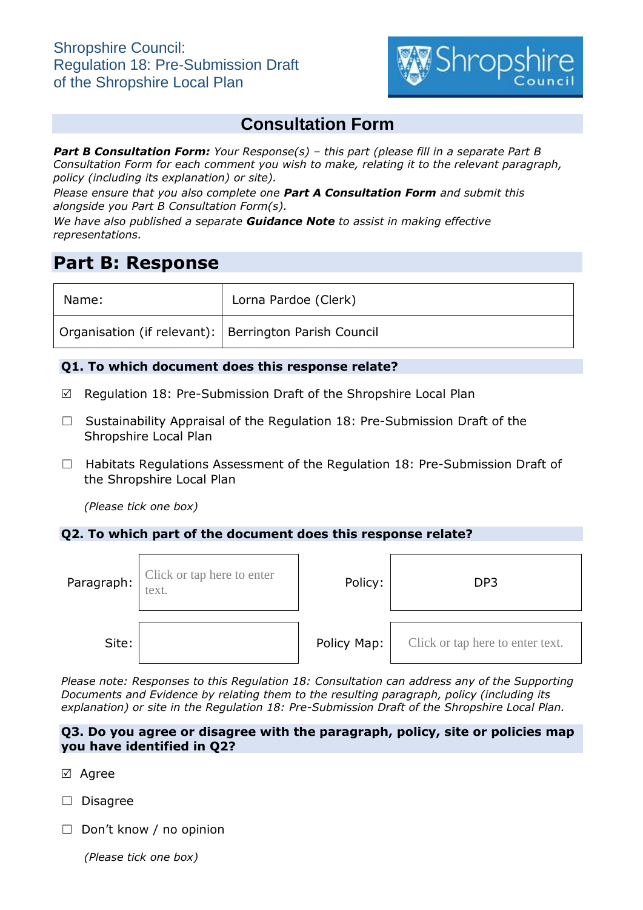

# **Consultation Form**

*Part B Consultation Form: Your Response(s) – this part (please fill in a separate Part B Consultation Form for each comment you wish to make, relating it to the relevant paragraph, policy (including its explanation) or site).*

*Please ensure that you also complete one Part A Consultation Form and submit this alongside you Part B Consultation Form(s).*

*We have also published a separate Guidance Note to assist in making effective representations.*

# **Part B: Response**

| Name:                                                   | Lorna Pardoe (Clerk) |
|---------------------------------------------------------|----------------------|
| Organisation (if relevant):   Berrington Parish Council |                      |

## **Q1. To which document does this response relate?**

- $\boxtimes$  Regulation 18: Pre-Submission Draft of the Shropshire Local Plan
- ☐ Sustainability Appraisal of the Regulation 18: Pre-Submission Draft of the Shropshire Local Plan
- □ Habitats Regulations Assessment of the Regulation 18: Pre-Submission Draft of the Shropshire Local Plan

*(Please tick one box)*

#### **Q2. To which part of the document does this response relate?**

| Paragraph: | Click or tap here to enter<br>text. | Policy:     | DP <sub>3</sub>                  |
|------------|-------------------------------------|-------------|----------------------------------|
| Site:      |                                     | Policy Map: | Click or tap here to enter text. |

*Please note: Responses to this Regulation 18: Consultation can address any of the Supporting Documents and Evidence by relating them to the resulting paragraph, policy (including its explanation) or site in the Regulation 18: Pre-Submission Draft of the Shropshire Local Plan.*

### **Q3. Do you agree or disagree with the paragraph, policy, site or policies map you have identified in Q2?**

- ⊠ Agree
- ☐ Disagree
- ☐ Don't know / no opinion

*(Please tick one box)*